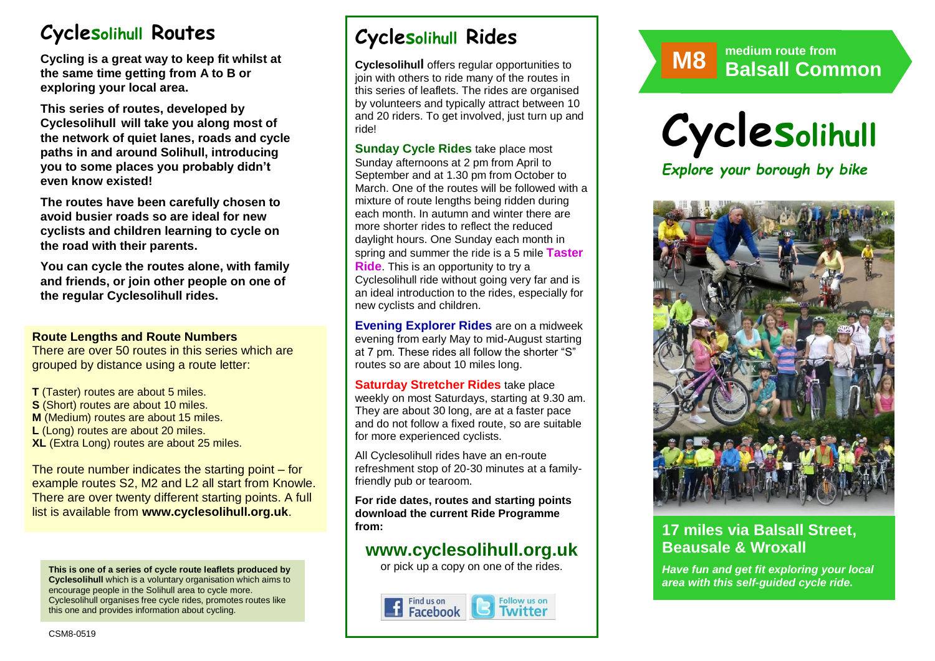# **Cyclesolihull Routes**

**Cycling is a great way to keep fit whilst at the same time getting from A to B or exploring your local area.** 

**This series of routes, developed by Cyclesolihull will take you along most of the network of quiet lanes, roads and cycle paths in and around Solihull, introducing you to some places you probably didn't even know existed!**

**The routes have been carefully chosen to avoid busier roads so are ideal for new cyclists and children learning to cycle on the road with their parents.** 

**You can cycle the routes alone, with family and friends, or join other people on one of the regular Cyclesolihull rides.**

#### **Route Lengths and Route Numbers**

There are over 50 routes in this series which are grouped by distance using a route letter:

**T** (Taster) routes are about 5 miles. **S** (Short) routes are about 10 miles. **M** (Medium) routes are about 15 miles. **L** (Long) routes are about 20 miles. **XL** (Extra Long) routes are about 25 miles.

The route number indicates the starting point – for example routes S2, M2 and L2 all start from Knowle. There are over twenty different starting points. A full list is available from **www.cyclesolihull.org.uk**.

**This is one of a series of cycle route leaflets produced by Cyclesolihull** which is a voluntary organisation which aims to encourage people in the Solihull area to cycle more. Cyclesolihull organises free cycle rides, promotes routes like this one and provides information about cycling.

# **Cyclesolihull Rides**

**Cyclesolihull** offers regular opportunities to join with others to ride many of the routes in this series of leaflets. The rides are organised by volunteers and typically attract between 10 and 20 riders. To get involved, just turn up and ride!

**Sunday Cycle Rides** take place most Sunday afternoons at 2 pm from April to September and at 1.30 pm from October to March. One of the routes will be followed with a mixture of route lengths being ridden during each month. In autumn and winter there are more shorter rides to reflect the reduced daylight hours. One Sunday each month in spring and summer the ride is a 5 mile **Taster Ride**. This is an opportunity to try a Cyclesolihull ride without going very far and is an ideal introduction to the rides, especially for new cyclists and children.

**Evening Explorer Rides** are on a midweek evening from early May to mid-August starting at 7 pm. These rides all follow the shorter "S" routes so are about 10 miles long.

**Saturday Stretcher Rides** take place weekly on most Saturdays, starting at 9.30 am. They are about 30 long, are at a faster pace and do not follow a fixed route, so are suitable for more experienced cyclists.

All Cyclesolihull rides have an en-route refreshment stop of 20-30 minutes at a familyfriendly pub or tearoom.

**For ride dates, routes and starting points download the current Ride Programme from:** 

## **www.cyclesolihull.org.uk**

or pick up a copy on one of the rides.







*PLUS opportunities to ride the route with others!*

## **17 miles via Balsall Street, Beausale & Wroxall**

*Have fun and get fit exploring your local area with this self-guided cycle ride.*